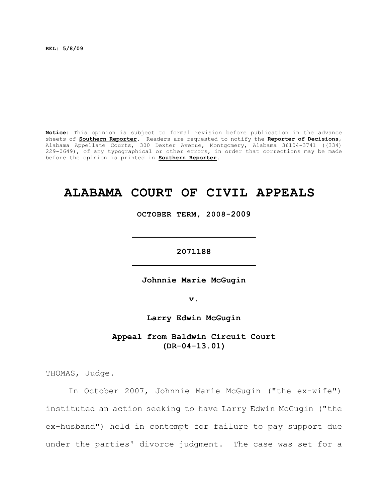**REL: 5/8/09**

**Notice:** This opinion is subject to formal revision before publication in the advance sheets of **Southern Reporter**. Readers are requested to notify the **Reporter of Decisions**, Alabama Appellate Courts, 300 Dexter Avenue, Montgomery, Alabama 36104-3741 ((334) 229-0649), of any typographical or other errors, in order that corrections may be made before the opinion is printed in **Southern Reporter**.

## **ALABAMA COURT OF CIVIL APPEALS**

**OCTOBER TERM, 2008-2009**

**\_\_\_\_\_\_\_\_\_\_\_\_\_\_\_\_\_\_\_\_\_\_\_\_\_**

**2071188 \_\_\_\_\_\_\_\_\_\_\_\_\_\_\_\_\_\_\_\_\_\_\_\_\_**

**Johnnie Marie McGugin**

**v.**

**Larry Edwin McGugin**

**Appeal from Baldwin Circuit Court (DR-04-13.01)**

THOMAS, Judge.

In October 2007, Johnnie Marie McGugin ("the ex-wife") instituted an action seeking to have Larry Edwin McGugin ("the ex-husband") held in contempt for failure to pay support due under the parties' divorce judgment. The case was set for a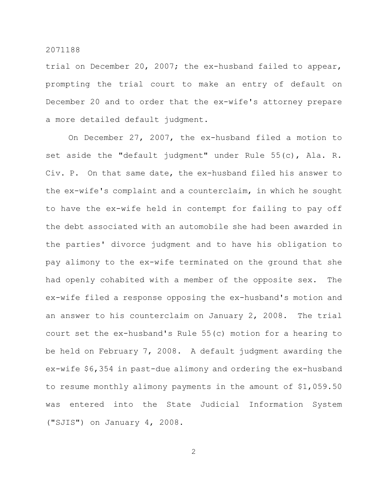trial on December 20, 2007; the ex-husband failed to appear, prompting the trial court to make an entry of default on December 20 and to order that the ex-wife's attorney prepare a more detailed default judgment.

On December 27, 2007, the ex-husband filed a motion to set aside the "default judgment" under Rule 55(c), Ala. R. Civ. P. On that same date, the ex-husband filed his answer to the ex-wife's complaint and a counterclaim, in which he sought to have the ex-wife held in contempt for failing to pay off the debt associated with an automobile she had been awarded in the parties' divorce judgment and to have his obligation to pay alimony to the ex-wife terminated on the ground that she had openly cohabited with a member of the opposite sex. The ex-wife filed a response opposing the ex-husband's motion and an answer to his counterclaim on January 2, 2008. The trial court set the ex-husband's Rule 55(c) motion for a hearing to be held on February 7, 2008. A default judgment awarding the ex-wife \$6,354 in past-due alimony and ordering the ex-husband to resume monthly alimony payments in the amount of \$1,059.50 was entered into the State Judicial Information System ("SJIS") on January 4, 2008.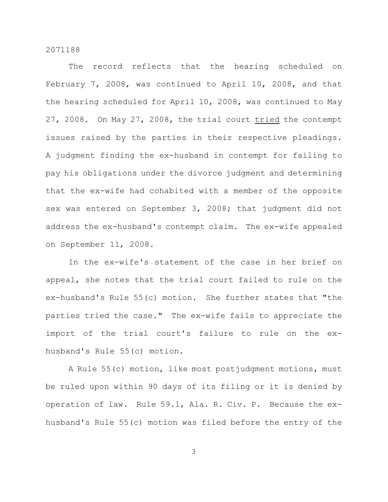The record reflects that the hearing scheduled on February 7, 2008, was continued to April 10, 2008, and that the hearing scheduled for April 10, 2008, was continued to May 27, 2008. On May 27, 2008, the trial court tried the contempt issues raised by the parties in their respective pleadings. A judgment finding the ex-husband in contempt for failing to pay his obligations under the divorce judgment and determining that the ex-wife had cohabited with a member of the opposite sex was entered on September 3, 2008; that judgment did not address the ex-husband's contempt claim. The ex-wife appealed on September 11, 2008.

In the ex-wife's statement of the case in her brief on appeal, she notes that the trial court failed to rule on the ex-husband's Rule 55(c) motion. She further states that "the parties tried the case." The ex-wife fails to appreciate the import of the trial court's failure to rule on the exhusband's Rule 55(c) motion.

A Rule 55(c) motion, like most postjudgment motions, must be ruled upon within 90 days of its filing or it is denied by operation of law. Rule 59.1, Ala. R. Civ. P. Because the exhusband's Rule 55(c) motion was filed before the entry of the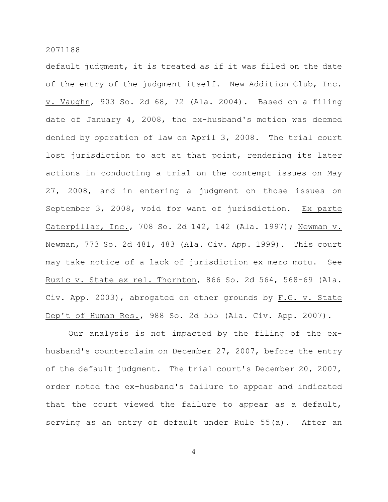default judgment, it is treated as if it was filed on the date of the entry of the judgment itself. New Addition Club, Inc. v. Vaughn, 903 So. 2d 68, 72 (Ala. 2004). Based on a filing date of January 4, 2008, the ex-husband's motion was deemed denied by operation of law on April 3, 2008. The trial court lost jurisdiction to act at that point, rendering its later actions in conducting a trial on the contempt issues on May 27, 2008, and in entering a judgment on those issues on September 3, 2008, void for want of jurisdiction. Ex parte Caterpillar, Inc., 708 So. 2d 142, 142 (Ala. 1997); Newman v. Newman, 773 So. 2d 481, 483 (Ala. Civ. App. 1999). This court may take notice of a lack of jurisdiction ex mero motu. See Ruzic v. State ex rel. Thornton, 866 So. 2d 564, 568-69 (Ala. Civ. App. 2003), abrogated on other grounds by F.G. v. State Dep't of Human Res., 988 So. 2d 555 (Ala. Civ. App. 2007).

Our analysis is not impacted by the filing of the exhusband's counterclaim on December 27, 2007, before the entry of the default judgment. The trial court's December 20, 2007, order noted the ex-husband's failure to appear and indicated that the court viewed the failure to appear as a default, serving as an entry of default under Rule 55(a). After an